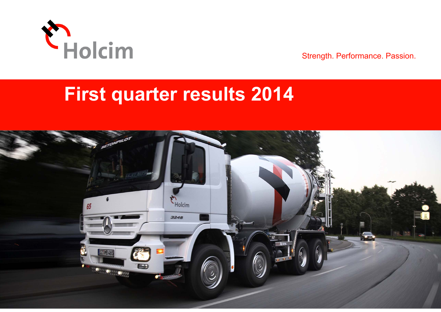

Strength. Performance. Passion.

# **First quarter results 2014**

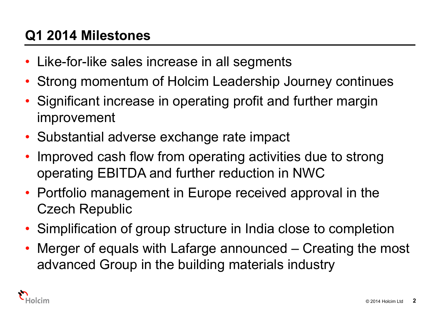# **Q1 2014 Milestones**

- •Like-for-like sales increase in all segments
- •Strong momentum of Holcim Leadership Journey continues
- • Significant increase in operating profit and further margin improvement
- Substantial adverse exchange rate impact
- • Improved cash flow from operating activities due to strong operating EBITDA and further reduction in NWC
- Portfolio management in Europe received approval in the Czech Republic
- Simplification of group structure in India close to completion
- • Merger of equals with Lafarge announced – Creating the most advanced Group in the building materials industry

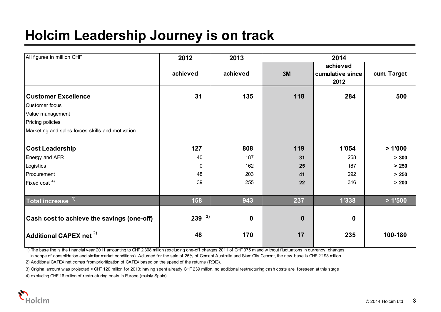# **Holcim Leadership Journey is on track**

| All figures in million CHF                       | 2012         | 2013             |                  |                  |             |  |
|--------------------------------------------------|--------------|------------------|------------------|------------------|-------------|--|
|                                                  |              |                  |                  | achieved         |             |  |
|                                                  | achieved     | achieved         | 3M               | cumulative since | cum. Target |  |
|                                                  |              |                  |                  | 2012             |             |  |
| <b>Customer Excellence</b>                       | 31           | 135              | 118              | 284              | 500         |  |
| Customer focus                                   |              |                  |                  |                  |             |  |
| Value management                                 |              |                  |                  |                  |             |  |
| Pricing policies                                 |              |                  |                  |                  |             |  |
| Marketing and sales forces skills and motivation |              |                  |                  |                  |             |  |
| <b>Cost Leadership</b>                           | 127          | 808              | 119              | 1'054            | >1'000      |  |
| Energy and AFR                                   | 40           | 187              | 31               | 258              | > 300       |  |
| Logistics                                        | $\mathbf{0}$ | 162              | 25               | 187              | > 250       |  |
| Procurement                                      | 48           | 203              | 41               | 292              | > 250       |  |
| Fixed cost $4$ )                                 | 39           | 255              | 22               | 316              | > 200       |  |
| Total increase <sup>1)</sup>                     | 158          | 943              | 237              | 1'338            | >1'500      |  |
| Cash cost to achieve the savings (one-off)       | 3)<br>239    | $\boldsymbol{0}$ | $\boldsymbol{0}$ | $\mathbf 0$      |             |  |
|                                                  |              |                  |                  |                  |             |  |
| $ $ Additional CAPEX net $^{2)}$                 | 48           | 170              | 17               | 235              | 100-180     |  |

1) The base line is the financial year 2011 amounting to CHF 2'308 million (excluding one-off charges 2011 of CHF 375 m and w ithout fluctuations in currency, changes

in scope of consolidation and similar market conditions). Adjusted for the sale of 25% of Cement Australia and Siam City Cement, the new base is CHF 2'193 million.

2) Additional CAPEX net comes from prioritization of CAPEX based on the speed of the returns (ROIC).

3) Original amount w as projected < CHF 120 million for 2013; having spent already CHF 239 million, no additional restructuring cash costs are foreseen at this stage

4) excluding CHF 16 million of restructuring costs in Europe (mainly Spain)

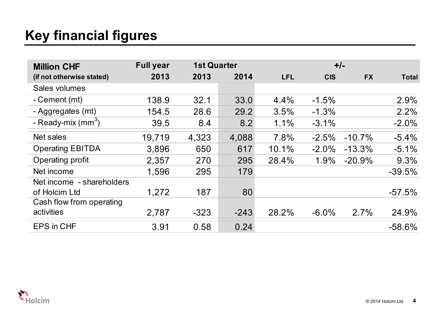# **Key financial figures**

| <b>Million CHF</b>        | <b>Full year</b> | <b>1st Quarter</b> |        |            |            | $+/-$     |              |
|---------------------------|------------------|--------------------|--------|------------|------------|-----------|--------------|
| (if not otherwise stated) | 2013             | 2013               | 2014   | <b>LFL</b> | <b>CIS</b> | <b>FX</b> | <b>Total</b> |
| Sales volumes             |                  |                    |        |            |            |           |              |
| - Cement (mt)             | 138.9            | 32.1               | 33.0   | 4.4%       | $-1.5%$    |           | 2.9%         |
| - Aggregates (mt)         | 154.5            | 28.6               | 29.2   | 3.5%       | $-1.3%$    |           | 2.2%         |
| - Ready-mix $(mm3)$       | 39.5             | 8.4                | 8.2    | 1.1%       | $-3.1%$    |           | $-2.0%$      |
| Net sales                 | 19,719           | 4,323              | 4,088  | 7.8%       | $-2.5%$    | $-10.7%$  | $-5.4%$      |
| <b>Operating EBITDA</b>   | 3,896            | 650                | 617    | 10.1%      | $-2.0\%$   | $-13.3%$  | $-5.1%$      |
| Operating profit          | 2,357            | 270                | 295    | 28.4%      | 1.9%       | $-20.9%$  | 9.3%         |
| Net income                | 1,596            | 295                | 179    |            |            |           | $-39.5%$     |
| Net income - shareholders |                  |                    |        |            |            |           |              |
| of Holcim Ltd             | 1,272            | 187                | 80     |            |            |           | $-57.5%$     |
| Cash flow from operating  |                  |                    |        |            |            |           |              |
| activities                | 2,787            | $-323$             | $-243$ | 28.2%      | $-6.0\%$   | 2.7%      | 24.9%        |
| <b>EPS in CHF</b>         | 3.91             | 0.58               | 0.24   |            |            |           | $-58.6%$     |

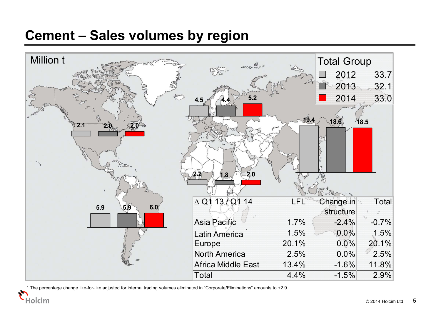#### **Cement – Sales volumes by region**



1 The percentage change like-for-like adjusted for internal trading volumes eliminated in "Corporate/Eliminations" amounts to +2.9.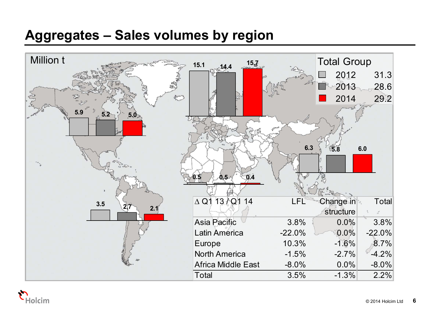## **Aggregates – Sales volumes by region**



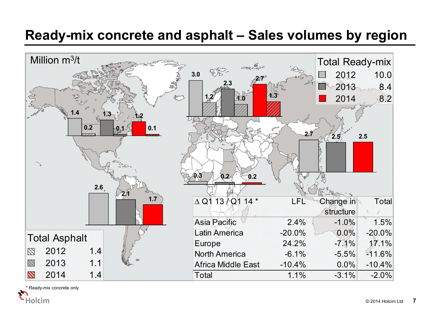#### **Ready-mix concrete and asphalt – Sales volumes by region**



\* Ready-mix concrete only

Holcim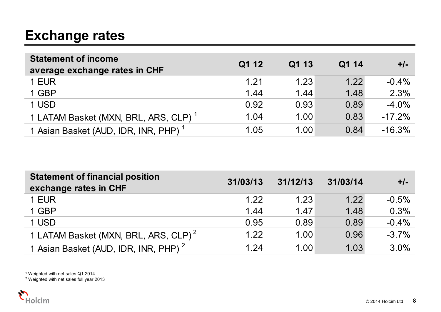# **Exchange rates**

| <b>Statement of income</b><br>average exchange rates in CHF | Q1 12 | Q1 13 | Q1 14 | $+/-$    |
|-------------------------------------------------------------|-------|-------|-------|----------|
| 1 EUR                                                       | 1.21  | 1.23  | 1.22  | $-0.4%$  |
| 1 GBP                                                       | 1.44  | 1.44  | 1.48  | 2.3%     |
| 1 USD                                                       | 0.92  | 0.93  | 0.89  | $-4.0%$  |
| 1 LATAM Basket (MXN, BRL, ARS, CLP) <sup>1</sup>            | 1.04  | 1.00  | 0.83  | $-17.2%$ |
| 1 Asian Basket (AUD, IDR, INR, PHP) <sup>1</sup>            | 1.05  | 1.00  | 0.84  | $-16.3%$ |

| <b>Statement of financial position</b><br>exchange rates in CHF | 31/03/13 | 31/12/13 | 31/03/14 | $+/-$    |
|-----------------------------------------------------------------|----------|----------|----------|----------|
| 1 EUR                                                           | 1.22     | 1.23     | 1.22     | $-0.5%$  |
| 1 GBP                                                           | 1.44     | 1.47     | 1.48     | 0.3%     |
| 1 USD                                                           | 0.95     | 0.89     | 0.89     | $-0.4%$  |
| 1 LATAM Basket (MXN, BRL, ARS, CLP) <sup>2</sup>                | 1.22     | 1.00     | 0.96     | $-3.7\%$ |
| 1 Asian Basket (AUD, IDR, INR, PHP) <sup>2</sup>                | 1.24     | 1.00     | 1.03     | 3.0%     |

1 Weighted with net sales Q1 2014 2 Weighted with net sales full year 2013

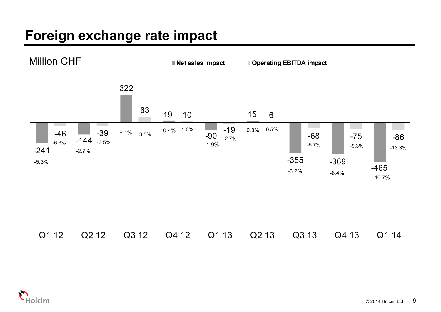# **Foreign exchange rate impact**



|  |  |  | Q112 Q212 Q312 Q412 Q113 Q213 Q313 Q413 Q114 |  |
|--|--|--|----------------------------------------------|--|
|  |  |  |                                              |  |

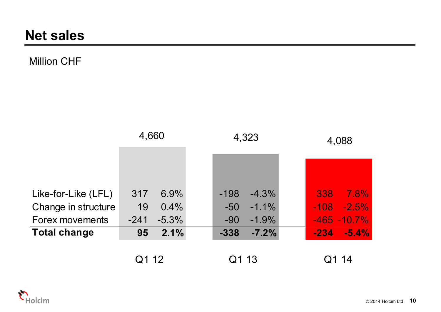#### Million CHF

|                     | 4,660              | 4,323             | 4,088           |
|---------------------|--------------------|-------------------|-----------------|
|                     |                    |                   |                 |
|                     |                    |                   |                 |
| Like-for-Like (LFL) | $6.9\%$<br>317     | $-4.3%$<br>$-198$ | 338<br>7.8%     |
| Change in structure | 19<br>0.4%         | $-50$<br>$-1.1\%$ | $-108$ $-2.5\%$ |
| Forex movements     | $-5.3\%$<br>$-241$ | $-90$<br>$-1.9\%$ | $-465 - 10.7%$  |
| <b>Total change</b> | 2.1%<br>95         | $-7.2%$<br>$-338$ | $-234 - 5.4\%$  |
|                     |                    |                   |                 |
|                     | Q1 12              | Q1 13             | 14              |

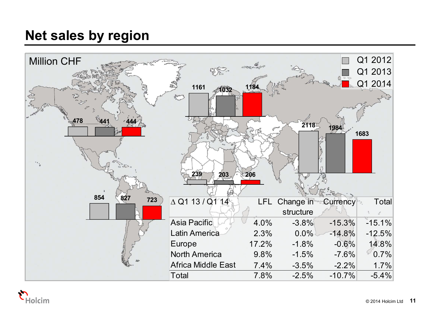# **Net sales by region**



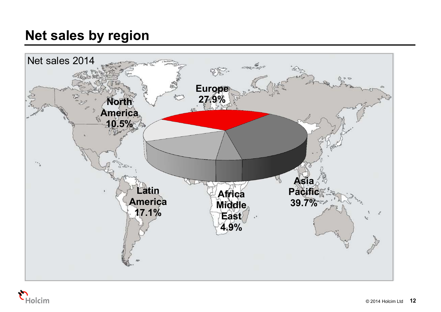# **Net sales by region**



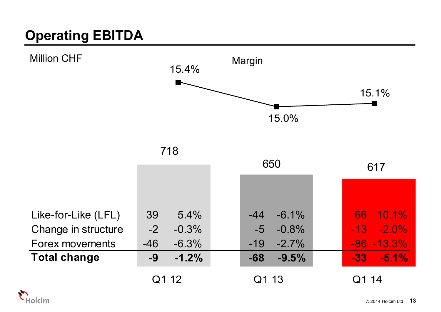# **Operating EBITDA**



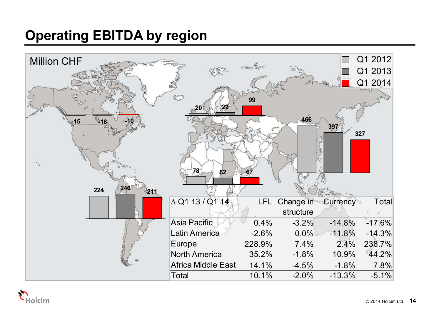# **Operating EBITDA by region**



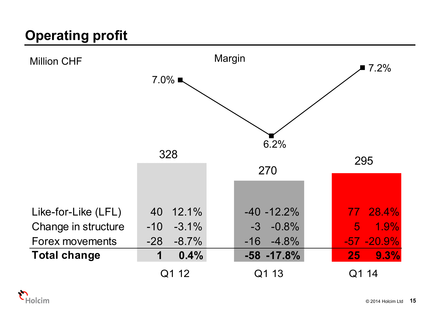# **Operating profit**



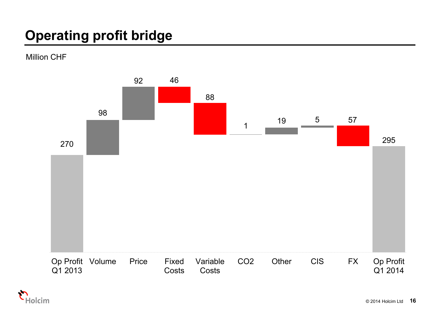# **Operating profit bridge**

Million CHF



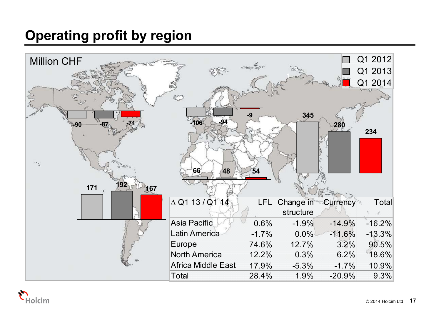# **Operating profit by region**



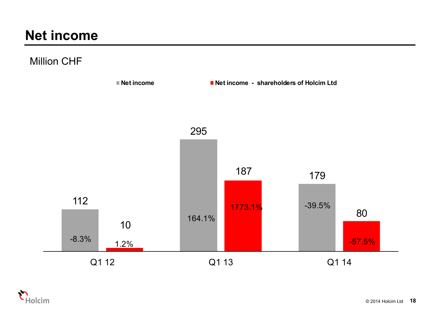## **Net income**

#### Million CHF



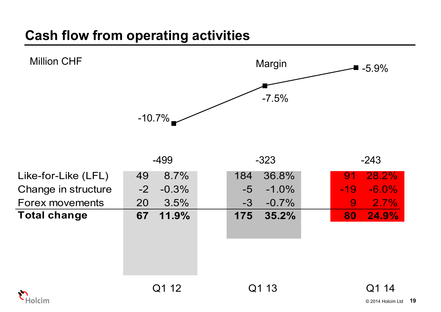# **Cash flow from operating activities**



| $-499$          | $-323$           | $-243$            |
|-----------------|------------------|-------------------|
| 8.7%<br>49      | 36.8%<br>184     | 28.2%<br>91       |
| $-2$<br>$-0.3%$ | $-5$<br>$-1.0\%$ | $-6.0\%$<br>$-19$ |
| 3.5%<br>20      | $-0.7\%$<br>$-3$ | 2.7%<br>9         |
| 11.9%<br>67     | 35.2%<br>175     | 24.9%<br>80       |
|                 |                  |                   |
|                 |                  |                   |
|                 |                  |                   |
|                 |                  |                   |
|                 |                  |                   |

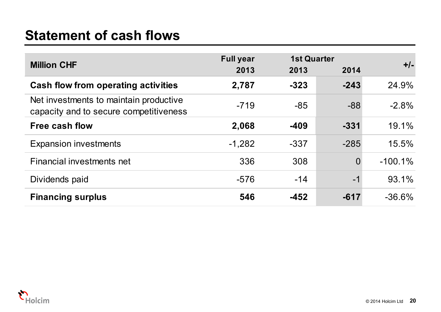## **Statement of cash flows**

|                                                                                  | <b>Full year</b> | <b>1st Quarter</b> |                | $+/-$     |
|----------------------------------------------------------------------------------|------------------|--------------------|----------------|-----------|
| <b>Million CHF</b>                                                               | 2013             | 2013               | 2014           |           |
| Cash flow from operating activities                                              | 2,787            | $-323$             | $-243$         | 24.9%     |
| Net investments to maintain productive<br>capacity and to secure competitiveness | $-719$           | $-85$              | $-88$          | $-2.8%$   |
| Free cash flow                                                                   | 2,068            | $-409$             | $-331$         | 19.1%     |
| <b>Expansion investments</b>                                                     | $-1,282$         | $-337$             | $-285$         | 15.5%     |
| Financial investments net                                                        | 336              | 308                | $\overline{0}$ | $-100.1%$ |
| Dividends paid                                                                   | $-576$           | $-14$              | $-1$           | 93.1%     |
| <b>Financing surplus</b>                                                         | 546              | $-452$             | $-617$         | $-36.6\%$ |

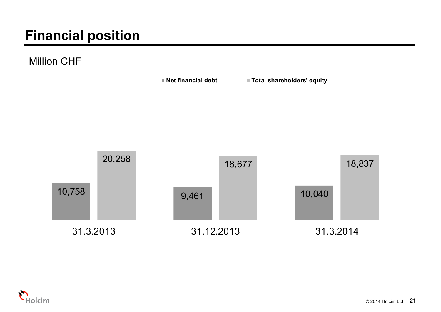# **Financial position**

Million CHF



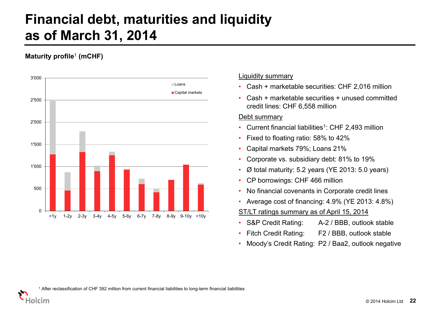## **Financial debt, maturities and liquidity as of March 31, 2014**

#### **Maturity profile**<sup>1</sup> **(mCHF)**

Iolcim



#### Liquidity summary

- Cash + marketable securities: CHF 2,016 million
- • Cash + marketable securities + unused committed credit lines: CHF 6,558 million

#### Debt summary

- •Current financial liabilities<sup>1</sup>: CHF 2,493 million
- •Fixed to floating ratio: 58% to 42%
- •Capital markets 79%; Loans 21%
- •Corporate vs. subsidiary debt: 81% to 19%
- •Ø total maturity: 5.2 years (YE 2013: 5.0 years)
- •CP borrowings: CHF 466 million
- •No financial covenants in Corporate credit lines
- •Average cost of financing: 4.9% (YE 2013: 4.8%)
- ST/LT ratings summary as of April 15, 2014
- •S&P Credit Rating: A-2 / BBB, outlook stable
- •Fitch Credit Rating: F2 / BBB, outlook stable
- •Moody's Credit Rating: P2 / Baa2, outlook negative

1 After reclassification of CHF 392 million from current financial liabilities to long-term financial liabilities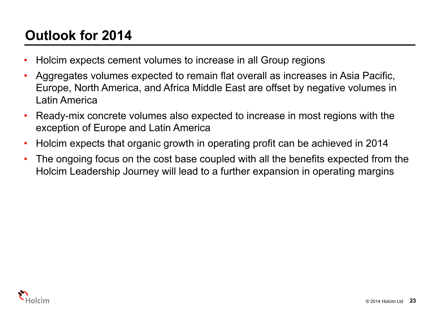# **Outlook for 2014**

- •Holcim expects cement volumes to increase in all Group regions
- • Aggregates volumes expected to remain flat overall as increases in Asia Pacific, Europe, North America, and Africa Middle East are offset by negative volumes in Latin America
- • Ready-mix concrete volumes also expected to increase in most regions with the exception of Europe and Latin America
- •Holcim expects that organic growth in operating profit can be achieved in 2014
- • The ongoing focus on the cost base coupled with all the benefits expected from the Holcim Leadership Journey will lead to a further expansion in operating margins

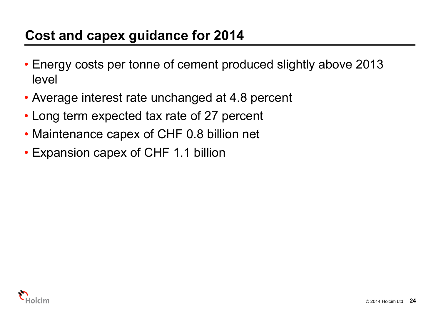# **Cost and capex guidance for 2014**

- Energy costs per tonne of cement produced slightly above 2013 level
- Average interest rate unchanged at 4.8 percent
- Long term expected tax rate of 27 percent
- Maintenance capex of CHF 0.8 billion net
- Expansion capex of CHF 1.1 billion

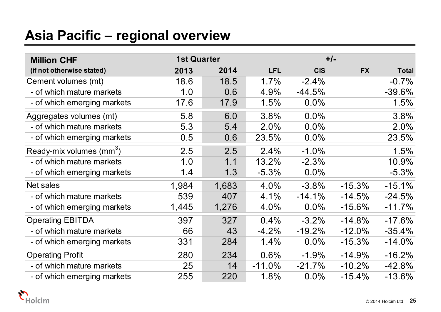# **Asia Pacific – regional overview**

| <b>Million CHF</b>                | <b>1st Quarter</b> |       |            |            | $+/-$     |              |
|-----------------------------------|--------------------|-------|------------|------------|-----------|--------------|
| (if not otherwise stated)         | 2013               | 2014  | <b>LFL</b> | <b>CIS</b> | <b>FX</b> | <b>Total</b> |
| Cement volumes (mt)               | 18.6               | 18.5  | 1.7%       | $-2.4%$    |           | $-0.7%$      |
| - of which mature markets         | 1.0                | 0.6   | 4.9%       | $-44.5%$   |           | $-39.6%$     |
| - of which emerging markets       | 17.6               | 17.9  | 1.5%       | $0.0\%$    |           | 1.5%         |
| Aggregates volumes (mt)           | 5.8                | 6.0   | 3.8%       | 0.0%       |           | 3.8%         |
| - of which mature markets         | 5.3                | 5.4   | 2.0%       | 0.0%       |           | 2.0%         |
| - of which emerging markets       | 0.5                | 0.6   | 23.5%      | 0.0%       |           | 23.5%        |
| Ready-mix volumes $\text{(mm}^3)$ | 2.5                | 2.5   | 2.4%       | $-1.0%$    |           | 1.5%         |
| - of which mature markets         | 1.0                | 1.1   | 13.2%      | $-2.3%$    |           | 10.9%        |
| - of which emerging markets       | 1.4                | 1.3   | $-5.3%$    | $0.0\%$    |           | $-5.3%$      |
| Net sales                         | 1,984              | 1,683 | 4.0%       | $-3.8%$    | $-15.3%$  | $-15.1%$     |
| - of which mature markets         | 539                | 407   | 4.1%       | $-14.1%$   | $-14.5%$  | $-24.5%$     |
| - of which emerging markets       | 1,445              | 1,276 | 4.0%       | $0.0\%$    | $-15.6%$  | $-11.7%$     |
| <b>Operating EBITDA</b>           | 397                | 327   | 0.4%       | $-3.2%$    | $-14.8%$  | $-17.6%$     |
| - of which mature markets         | 66                 | 43    | $-4.2%$    | $-19.2%$   | $-12.0%$  | $-35.4%$     |
| - of which emerging markets       | 331                | 284   | 1.4%       | $0.0\%$    | $-15.3%$  | $-14.0%$     |
| <b>Operating Profit</b>           | 280                | 234   | 0.6%       | $-1.9%$    | $-14.9%$  | $-16.2%$     |
| - of which mature markets         | 25                 | 14    | $-11.0%$   | $-21.7%$   | $-10.2%$  | $-42.8%$     |
| - of which emerging markets       | 255                | 220   | 1.8%       | 0.0%       | $-15.4%$  | $-13.6%$     |

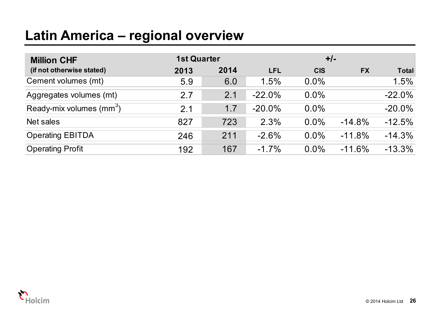# **Latin America – regional overview**

| <b>Million CHF</b>                   |      | <b>1st Quarter</b><br>$+/-$ |            |            |           |              |
|--------------------------------------|------|-----------------------------|------------|------------|-----------|--------------|
| (if not otherwise stated)            | 2013 | 2014                        | <b>LFL</b> | <b>CIS</b> | <b>FX</b> | <b>Total</b> |
| Cement volumes (mt)                  | 5.9  | 6.0                         | 1.5%       | $0.0\%$    |           | 1.5%         |
| Aggregates volumes (mt)              | 2.7  | 2.1                         | $-22.0%$   | $0.0\%$    |           | $-22.0%$     |
| Ready-mix volumes (mm <sup>3</sup> ) | 2.1  | 1.7                         | $-20.0%$   | $0.0\%$    |           | $-20.0\%$    |
| Net sales                            | 827  | 723                         | 2.3%       | $0.0\%$    | $-14.8%$  | $-12.5%$     |
| <b>Operating EBITDA</b>              | 246  | 211                         | $-2.6%$    | $0.0\%$    | $-11.8%$  | $-14.3%$     |
| <b>Operating Profit</b>              | 192  | 167                         | $-1.7\%$   | $0.0\%$    | $-11.6%$  | $-13.3%$     |

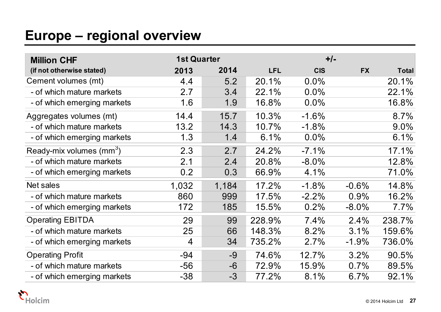## **Europe – regional overview**

| <b>Million CHF</b>                   | <b>1st Quarter</b> |       |            |            | $+/-$     |              |
|--------------------------------------|--------------------|-------|------------|------------|-----------|--------------|
| (if not otherwise stated)            | 2013               | 2014  | <b>LFL</b> | <b>CIS</b> | <b>FX</b> | <b>Total</b> |
| Cement volumes (mt)                  | 4.4                | 5.2   | 20.1%      | $0.0\%$    |           | 20.1%        |
| - of which mature markets            | 2.7                | 3.4   | 22.1%      | $0.0\%$    |           | 22.1%        |
| - of which emerging markets          | 1.6                | 1.9   | 16.8%      | $0.0\%$    |           | 16.8%        |
| Aggregates volumes (mt)              | 14.4               | 15.7  | 10.3%      | $-1.6%$    |           | 8.7%         |
| - of which mature markets            | 13.2               | 14.3  | 10.7%      | $-1.8%$    |           | $9.0\%$      |
| - of which emerging markets          | 1.3                | 1.4   | 6.1%       | $0.0\%$    |           | 6.1%         |
| Ready-mix volumes (mm <sup>3</sup> ) | 2.3                | 2.7   | 24.2%      | $-7.1%$    |           | 17.1%        |
| - of which mature markets            | 2.1                | 2.4   | 20.8%      | $-8.0\%$   |           | 12.8%        |
| - of which emerging markets          | 0.2                | 0.3   | 66.9%      | 4.1%       |           | 71.0%        |
| Net sales                            | 1,032              | 1,184 | 17.2%      | $-1.8%$    | $-0.6%$   | 14.8%        |
| - of which mature markets            | 860                | 999   | 17.5%      | $-2.2%$    | 0.9%      | 16.2%        |
| - of which emerging markets          | 172                | 185   | 15.5%      | 0.2%       | $-8.0\%$  | 7.7%         |
| <b>Operating EBITDA</b>              | 29                 | 99    | 228.9%     | 7.4%       | 2.4%      | 238.7%       |
| - of which mature markets            | 25                 | 66    | 148.3%     | 8.2%       | 3.1%      | 159.6%       |
| - of which emerging markets          | 4                  | 34    | 735.2%     | 2.7%       | $-1.9%$   | 736.0%       |
| <b>Operating Profit</b>              | $-94$              | $-9$  | 74.6%      | 12.7%      | 3.2%      | 90.5%        |
| - of which mature markets            | $-56$              | $-6$  | 72.9%      | 15.9%      | 0.7%      | 89.5%        |
| - of which emerging markets          | $-38$              | $-3$  | 77.2%      | 8.1%       | 6.7%      | 92.1%        |

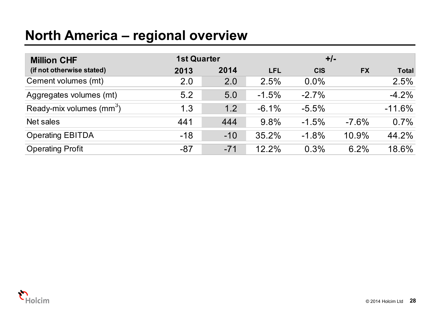#### **North America – regional overview**

| <b>Million CHF</b>                   |       | <b>1st Quarter</b> |            |            | $+/-$     |              |  |
|--------------------------------------|-------|--------------------|------------|------------|-----------|--------------|--|
| (if not otherwise stated)            | 2013  | 2014               | <b>LFL</b> | <b>CIS</b> | <b>FX</b> | <b>Total</b> |  |
| Cement volumes (mt)                  | 2.0   | 2.0                | 2.5%       | $0.0\%$    |           | 2.5%         |  |
| Aggregates volumes (mt)              | 5.2   | 5.0                | $-1.5%$    | $-2.7%$    |           | $-4.2%$      |  |
| Ready-mix volumes (mm <sup>3</sup> ) | 1.3   | 1.2                | $-6.1%$    | $-5.5%$    |           | $-11.6%$     |  |
| Net sales                            | 441   | 444                | 9.8%       | $-1.5%$    | $-7.6%$   | 0.7%         |  |
| <b>Operating EBITDA</b>              | $-18$ | $-10$              | 35.2%      | $-1.8%$    | 10.9%     | 44.2%        |  |
| <b>Operating Profit</b>              | $-87$ | $-71$              | 12.2%      | 0.3%       | 6.2%      | 18.6%        |  |

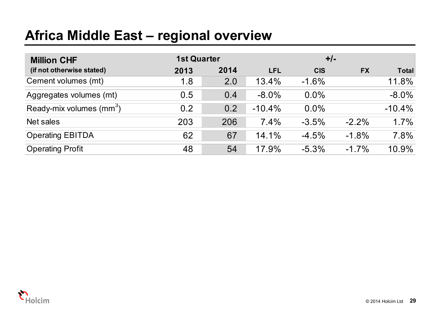## **Africa Middle East – regional overview**

| <b>Million CHF</b>                   | <b>1st Quarter</b> |      |            | $+/-$      |           |              |
|--------------------------------------|--------------------|------|------------|------------|-----------|--------------|
| (if not otherwise stated)            | 2013               | 2014 | <b>LFL</b> | <b>CIS</b> | <b>FX</b> | <b>Total</b> |
| Cement volumes (mt)                  | 1.8                | 2.0  | 13.4%      | $-1.6%$    |           | 11.8%        |
| Aggregates volumes (mt)              | 0.5                | 0.4  | $-8.0\%$   | $0.0\%$    |           | $-8.0\%$     |
| Ready-mix volumes (mm <sup>3</sup> ) | 0.2                | 0.2  | $-10.4%$   | $0.0\%$    |           | $-10.4%$     |
| Net sales                            | 203                | 206  | 7.4%       | $-3.5%$    | $-2.2\%$  | 1.7%         |
| <b>Operating EBITDA</b>              | 62                 | 67   | 14.1%      | $-4.5%$    | $-1.8%$   | 7.8%         |
| <b>Operating Profit</b>              | 48                 | 54   | 17.9%      | $-5.3\%$   | $-1.7%$   | 10.9%        |

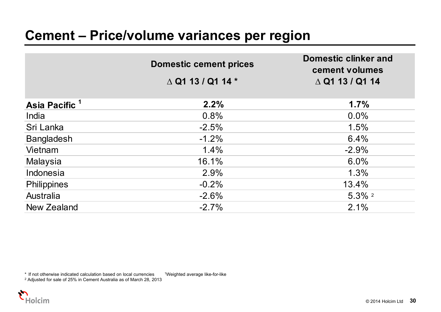|                           | <b>Domestic cement prices</b> | <b>Domestic clinker and</b><br>cement volumes |
|---------------------------|-------------------------------|-----------------------------------------------|
|                           | $\triangle$ Q1 13 / Q1 14 $*$ | $\triangle$ Q1 13 / Q1 14                     |
| Asia Pacific <sup>1</sup> | 2.2%                          | 1.7%                                          |
| India                     | 0.8%                          | $0.0\%$                                       |
| Sri Lanka                 | $-2.5%$                       | 1.5%                                          |
| <b>Bangladesh</b>         | $-1.2%$                       | 6.4%                                          |
| Vietnam                   | 1.4%                          | $-2.9%$                                       |
| Malaysia                  | 16.1%                         | 6.0%                                          |
| Indonesia                 | 2.9%                          | 1.3%                                          |
| <b>Philippines</b>        | $-0.2%$                       | 13.4%                                         |
| Australia                 | $-2.6%$                       | $5.3\%$ <sup>2</sup>                          |
| New Zealand               | $-2.7%$                       | 2.1%                                          |

\* If not otherwise indicated calculation based on local currencies 1Weighted average like-for-like

2 Adjusted for sale of 25% in Cement Australia as of March 28, 2013

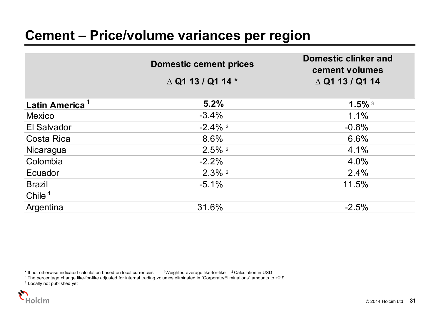|                            | <b>Domestic cement prices</b><br>$\triangle$ Q1 13 / Q1 14 $*$ | <b>Domestic clinker and</b><br>cement volumes<br>$\triangle$ Q1 13 / Q1 14 |
|----------------------------|----------------------------------------------------------------|----------------------------------------------------------------------------|
| Latin America <sup>1</sup> | 5.2%                                                           | $1.5\%$ <sup>3</sup>                                                       |
| <b>Mexico</b>              | $-3.4%$                                                        | 1.1%                                                                       |
| El Salvador                | $-2.4\%$ <sup>2</sup>                                          | $-0.8%$                                                                    |
| Costa Rica                 | 8.6%                                                           | 6.6%                                                                       |
| Nicaragua                  | $2.5\%$ <sup>2</sup>                                           | 4.1%                                                                       |
| Colombia                   | $-2.2%$                                                        | 4.0%                                                                       |
| Ecuador                    | $2.3\%$ <sup>2</sup>                                           | 2.4%                                                                       |
| <b>Brazil</b>              | $-5.1%$                                                        | 11.5%                                                                      |
| Chile $4$                  |                                                                |                                                                            |
| Argentina                  | 31.6%                                                          | $-2.5%$                                                                    |

\* If not otherwise indicated calculation based on local currencies the impristed average like-for-like the <sup>2</sup> Calculation in USD<br><sup>3</sup> The percentage change like-for-like adjusted for internal trading volumes eliminated in

4 Locally not published yet

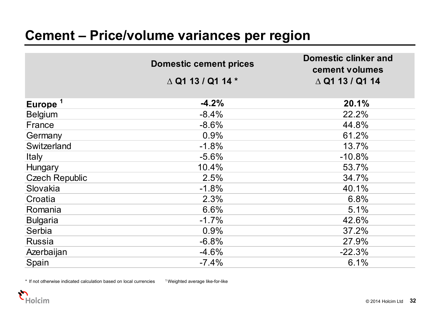|                       | <b>Domestic cement prices</b> | <b>Domestic clinker and</b><br>cement volumes |
|-----------------------|-------------------------------|-----------------------------------------------|
|                       | $\triangle$ Q1 13 / Q1 14 $*$ | $\triangle$ Q1 13 / Q1 14                     |
|                       |                               |                                               |
| Europe <sup>1</sup>   | $-4.2%$                       | 20.1%                                         |
| <b>Belgium</b>        | $-8.4%$                       | 22.2%                                         |
| France                | $-8.6%$                       | 44.8%                                         |
| Germany               | 0.9%                          | 61.2%                                         |
| Switzerland           | $-1.8%$                       | 13.7%                                         |
| <b>Italy</b>          | $-5.6%$                       | $-10.8%$                                      |
| <b>Hungary</b>        | 10.4%                         | 53.7%                                         |
| <b>Czech Republic</b> | 2.5%                          | 34.7%                                         |
| Slovakia              | $-1.8%$                       | 40.1%                                         |
| Croatia               | 2.3%                          | 6.8%                                          |
| Romania               | 6.6%                          | 5.1%                                          |
| <b>Bulgaria</b>       | $-1.7%$                       | 42.6%                                         |
| Serbia                | 0.9%                          | 37.2%                                         |
| <b>Russia</b>         | $-6.8%$                       | 27.9%                                         |
| Azerbaijan            | $-4.6%$                       | $-22.3%$                                      |
| Spain                 | $-7.4%$                       | 6.1%                                          |

 $*$  If not otherwise indicated calculation based on local currencies  $1$  Weighted average like-for-like

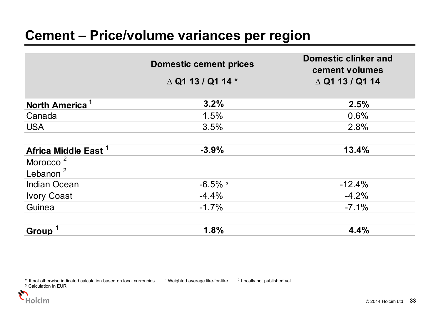|                                 | <b>Domestic cement prices</b> | <b>Domestic clinker and</b><br>cement volumes |
|---------------------------------|-------------------------------|-----------------------------------------------|
|                                 | $\triangle$ Q1 13 / Q1 14 $*$ | $\triangle$ Q1 13 / Q1 14                     |
| North America <sup>1</sup>      | 3.2%                          | 2.5%                                          |
| Canada                          | 1.5%                          | 0.6%                                          |
| <b>USA</b>                      | 3.5%                          | 2.8%                                          |
| Africa Middle East <sup>1</sup> | $-3.9%$                       | 13.4%                                         |
| Morocco <sup>2</sup>            |                               |                                               |
| Lebanon $^2$                    |                               |                                               |
| <b>Indian Ocean</b>             | $-6.5\%$ <sup>3</sup>         | $-12.4%$                                      |
| <b>Ivory Coast</b>              | $-4.4%$                       | $-4.2%$                                       |
| Guinea                          | $-1.7%$                       | $-7.1%$                                       |
| Group <sup>1</sup>              | 1.8%                          | 4.4%                                          |



 $*$  If not otherwise indicated calculation based on local currencies  $*$  1 Weighted average like-for-like  $*$  Locally not published yet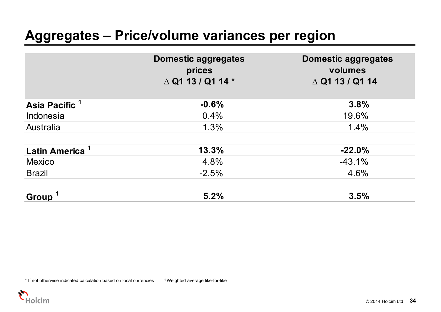#### **Aggregates – Price/volume variances per region**

|                            | <b>Domestic aggregates</b><br>prices<br>$\triangle$ Q1 13 / Q1 14 $^{\star}$ | <b>Domestic aggregates</b><br>volumes<br>$\triangle$ Q1 13 / Q1 14 |
|----------------------------|------------------------------------------------------------------------------|--------------------------------------------------------------------|
| Asia Pacific <sup>1</sup>  | $-0.6%$                                                                      | 3.8%                                                               |
| Indonesia                  | 0.4%                                                                         | 19.6%                                                              |
| Australia                  | 1.3%                                                                         | 1.4%                                                               |
| Latin America <sup>1</sup> | 13.3%                                                                        | $-22.0%$                                                           |
| <b>Mexico</b>              | 4.8%                                                                         | $-43.1%$                                                           |
| <b>Brazil</b>              | $-2.5%$                                                                      | 4.6%                                                               |
| Group <sup>1</sup>         | 5.2%                                                                         | 3.5%                                                               |

\* If not otherwise indicated calculation based on local currencies <sup>1</sup> Weighted average like-for-like

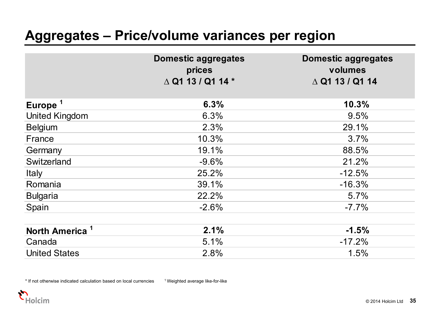#### **Aggregates – Price/volume variances per region**

|                            | <b>Domestic aggregates</b><br>prices<br>$\triangle$ Q1 13 / Q1 14 $^*$ | <b>Domestic aggregates</b><br>volumes<br>$\triangle$ Q1 13 / Q1 14 |
|----------------------------|------------------------------------------------------------------------|--------------------------------------------------------------------|
| Europe <sup>1</sup>        | 6.3%                                                                   | 10.3%                                                              |
| <b>United Kingdom</b>      | 6.3%                                                                   | 9.5%                                                               |
| <b>Belgium</b>             | 2.3%                                                                   | 29.1%                                                              |
| France                     | 10.3%                                                                  | 3.7%                                                               |
| Germany                    | 19.1%                                                                  | 88.5%                                                              |
| Switzerland                | $-9.6%$                                                                | 21.2%                                                              |
| <b>Italy</b>               | 25.2%                                                                  | $-12.5%$                                                           |
| Romania                    | 39.1%                                                                  | $-16.3%$                                                           |
| <b>Bulgaria</b>            | 22.2%                                                                  | 5.7%                                                               |
| Spain                      | $-2.6%$                                                                | $-7.7\%$                                                           |
| North America <sup>1</sup> | 2.1%                                                                   | $-1.5%$                                                            |
| Canada                     | 5.1%                                                                   | $-17.2%$                                                           |
| <b>United States</b>       | 2.8%                                                                   | 1.5%                                                               |

\* If not otherwise indicated calculation based on local currencies 1 Weighted average like-for-like

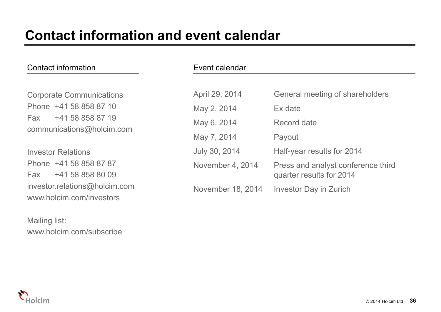| Contact information                                                            | Event calendar    |                                    |
|--------------------------------------------------------------------------------|-------------------|------------------------------------|
| <b>Corporate Communications</b>                                                | April 29, 2014    | General meeting of shareholders    |
| Phone +41 58 858 87 10<br>+41 58 858 87 19<br>Fax<br>communications@holcim.com | May 2, 2014       | Ex date                            |
|                                                                                | May 6, 2014       | Record date                        |
|                                                                                | May 7, 2014       | Payout                             |
| <b>Investor Relations</b>                                                      | July 30, 2014     | Half-year results for 2014         |
| Phone +41 58 858 87 87                                                         | November 4, 2014  | Press and analyst conference third |
| +41 58 858 80 09<br>Fax                                                        |                   | quarter results for 2014           |
| investor.relations@holcim.com<br>www.holcim.com/investors                      | November 18, 2014 | <b>Investor Day in Zurich</b>      |

Mailing list: www.holcim.com/subscribe

lolcim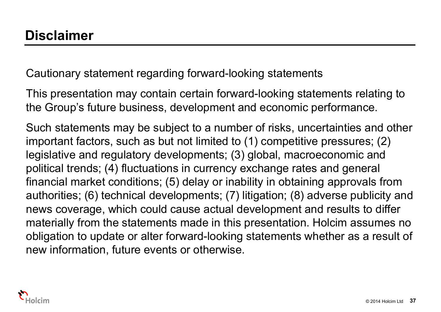Cautionary statement regarding forward-looking statements

This presentation may contain certain forward-looking statements relating to the Group's future business, development and economic performance.

Such statements may be subject to a number of risks, uncertainties and other important factors, such as but not limited to (1) competitive pressures; (2) legislative and regulatory developments; (3) global, macroeconomic and political trends; (4) fluctuations in currency exchange rates and general financial market conditions; (5) delay or inability in obtaining approvals from authorities; (6) technical developments; (7) litigation; (8) adverse publicity and news coverage, which could cause actual development and results to differ materially from the statements made in this presentation. Holcim assumes no obligation to update or alter forward-looking statements whether as a result of new information, future events or otherwise.